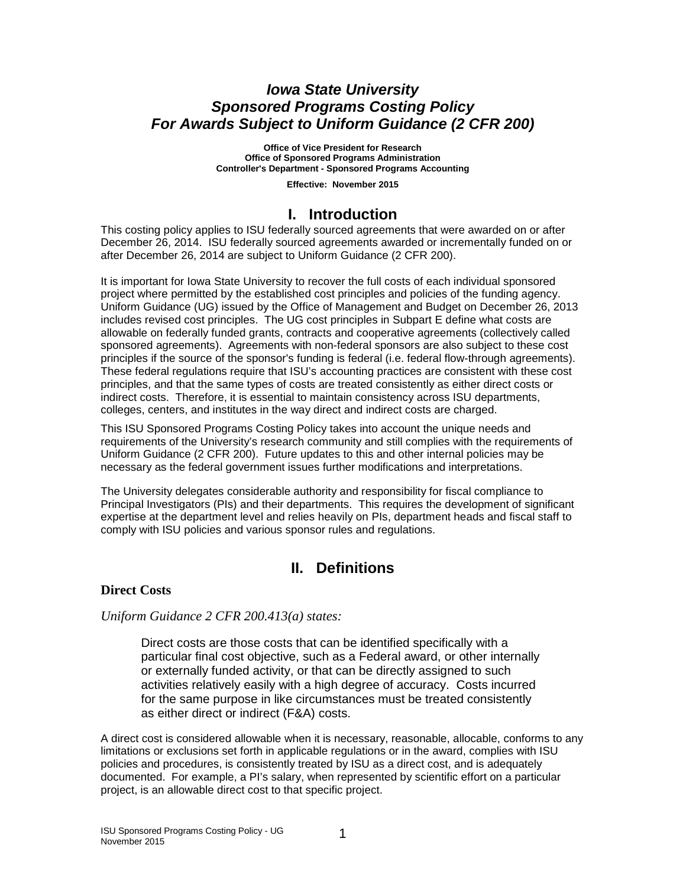## *Iowa State University Sponsored Programs Costing Policy For Awards Subject to Uniform Guidance (2 CFR 200)*

**Office of Vice President for Research Office of Sponsored Programs Administration Controller's Department - Sponsored Programs Accounting**

**Effective: November 2015**

## **I. Introduction**

This costing policy applies to ISU federally sourced agreements that were awarded on or after December 26, 2014. ISU federally sourced agreements awarded or incrementally funded on or after December 26, 2014 are subject to Uniform Guidance (2 CFR 200).

It is important for Iowa State University to recover the full costs of each individual sponsored project where permitted by the established cost principles and policies of the funding agency. Uniform Guidance (UG) issued by the Office of Management and Budget on December 26, 2013 includes revised cost principles. The UG cost principles in Subpart E define what costs are allowable on federally funded grants, contracts and cooperative agreements (collectively called sponsored agreements). Agreements with non-federal sponsors are also subject to these cost principles if the source of the sponsor's funding is federal (i.e. federal flow-through agreements). These federal regulations require that ISU's accounting practices are consistent with these cost principles, and that the same types of costs are treated consistently as either direct costs or indirect costs. Therefore, it is essential to maintain consistency across ISU departments, colleges, centers, and institutes in the way direct and indirect costs are charged.

This ISU Sponsored Programs Costing Policy takes into account the unique needs and requirements of the University's research community and still complies with the requirements of Uniform Guidance (2 CFR 200). Future updates to this and other internal policies may be necessary as the federal government issues further modifications and interpretations.

The University delegates considerable authority and responsibility for fiscal compliance to Principal Investigators (PIs) and their departments. This requires the development of significant expertise at the department level and relies heavily on PIs, department heads and fiscal staff to comply with ISU policies and various sponsor rules and regulations.

# **II. Definitions**

### **Direct Costs**

### *Uniform Guidance 2 CFR 200.413(a) states:*

Direct costs are those costs that can be identified specifically with a particular final cost objective, such as a Federal award, or other internally or externally funded activity, or that can be directly assigned to such activities relatively easily with a high degree of accuracy. Costs incurred for the same purpose in like circumstances must be treated consistently as either direct or indirect (F&A) costs.

A direct cost is considered allowable when it is necessary, reasonable, allocable, conforms to any limitations or exclusions set forth in applicable regulations or in the award, complies with ISU policies and procedures, is consistently treated by ISU as a direct cost, and is adequately documented. For example, a PI's salary, when represented by scientific effort on a particular project, is an allowable direct cost to that specific project.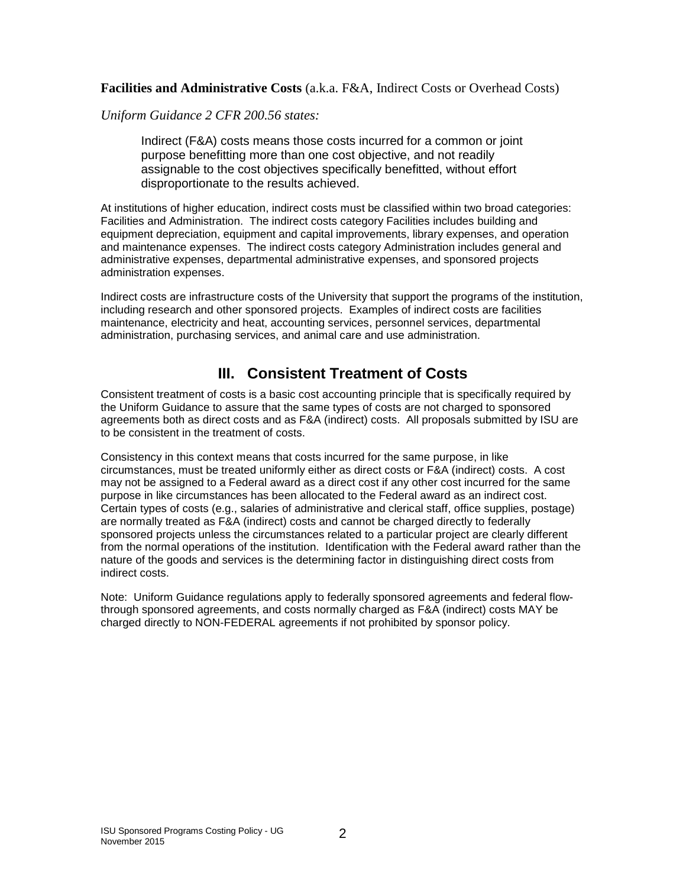**Facilities and Administrative Costs** (a.k.a. F&A, Indirect Costs or Overhead Costs)

*Uniform Guidance 2 CFR 200.56 states:*

Indirect (F&A) costs means those costs incurred for a common or joint purpose benefitting more than one cost objective, and not readily assignable to the cost objectives specifically benefitted, without effort disproportionate to the results achieved.

At institutions of higher education, indirect costs must be classified within two broad categories: Facilities and Administration. The indirect costs category Facilities includes building and equipment depreciation, equipment and capital improvements, library expenses, and operation and maintenance expenses. The indirect costs category Administration includes general and administrative expenses, departmental administrative expenses, and sponsored projects administration expenses.

Indirect costs are infrastructure costs of the University that support the programs of the institution, including research and other sponsored projects. Examples of indirect costs are facilities maintenance, electricity and heat, accounting services, personnel services, departmental administration, purchasing services, and animal care and use administration.

# **III. Consistent Treatment of Costs**

Consistent treatment of costs is a basic cost accounting principle that is specifically required by the Uniform Guidance to assure that the same types of costs are not charged to sponsored agreements both as direct costs and as F&A (indirect) costs. All proposals submitted by ISU are to be consistent in the treatment of costs.

Consistency in this context means that costs incurred for the same purpose, in like circumstances, must be treated uniformly either as direct costs or F&A (indirect) costs. A cost may not be assigned to a Federal award as a direct cost if any other cost incurred for the same purpose in like circumstances has been allocated to the Federal award as an indirect cost. Certain types of costs (e.g., salaries of administrative and clerical [staff,](http://www.asu.edu/aad/manuals/rsp/rsp004.html#staffpositions) office supplies, postage) are normally treated as F&A (indirect) costs and cannot be charged directly to federally [sponsored projects](http://www.asu.edu/aad/manuals/rsp/rsp004.html#sponsoredproject) unless the circumstances related to a particular project are clearly different from the normal operations of the institution. Identification with the Federal award rather than the nature of the goods and services is the determining factor in distinguishing direct costs from indirect costs.

Note: Uniform Guidance regulations apply to federally sponsored agreements and federal flowthrough sponsored agreements, and costs normally charged as F&A (indirect) costs MAY be charged directly to NON-FEDERAL agreements if not prohibited by sponsor policy.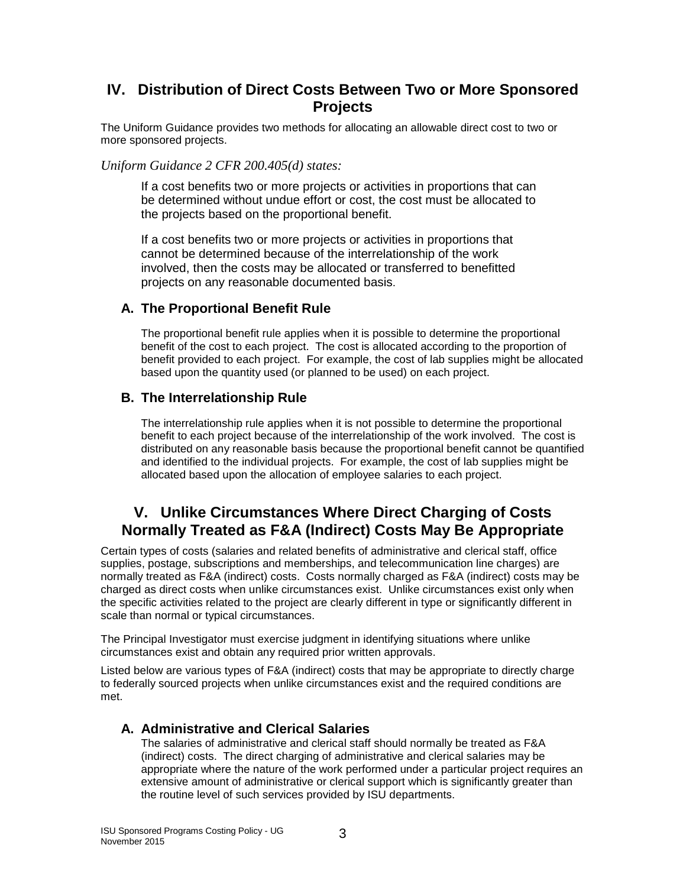# **IV. Distribution of Direct Costs Between Two or More Sponsored Projects**

The Uniform Guidance provides two methods for allocating an allowable direct cost to two or more sponsored projects.

*Uniform Guidance 2 CFR 200.405(d) states:*

If a cost benefits two or more projects or activities in proportions that can be determined without undue effort or cost, the cost must be allocated to the projects based on the proportional benefit.

If a cost benefits two or more projects or activities in proportions that cannot be determined because of the interrelationship of the work involved, then the costs may be allocated or transferred to benefitted projects on any reasonable documented basis.

### **A. The Proportional Benefit Rule**

The proportional benefit rule applies when it is possible to determine the proportional benefit of the cost to each project. The cost is allocated according to the proportion of benefit provided to each project. For example, the cost of lab supplies might be allocated based upon the quantity used (or planned to be used) on each project.

### **B. The Interrelationship Rule**

The interrelationship rule applies when it is not possible to determine the proportional benefit to each project because of the interrelationship of the work involved. The cost is distributed on any reasonable basis because the proportional benefit cannot be quantified and identified to the individual projects. For example, the cost of lab supplies might be allocated based upon the allocation of employee salaries to each project.

# **V. Unlike Circumstances Where Direct Charging of Costs Normally Treated as F&A (Indirect) Costs May Be Appropriate**

Certain types of costs (salaries and related benefits of administrative and clerical staff, office supplies, postage, subscriptions and memberships, and telecommunication line charges) are normally treated as F&A (indirect) costs. Costs normally charged as F&A (indirect) costs may be charged as direct costs when unlike circumstances exist. Unlike circumstances exist only when the specific activities related to the project are clearly different in type or significantly different in scale than normal or typical circumstances.

The Principal [Investigator](http://www.asu.edu/aad/manuals/rsp/rsp004.html#investigator) must exercise judgment in identifying situations where unlike circumstances exist and obtain any required prior written approvals.

Listed below are various types of F&A (indirect) costs that may be appropriate to directly charge to federally sourced projects when unlike circumstances exist and the required conditions are met.

### **A. Administrative and Clerical Salaries**

The salaries of administrative and clerical staff should normally be treated as F&A (indirect) costs. The direct charging of administrative and clerical salaries may be appropriate where the nature of the work performed under a particular project requires an extensive amount of administrative or clerical support which is significantly greater than the routine level of such services provided by ISU departments.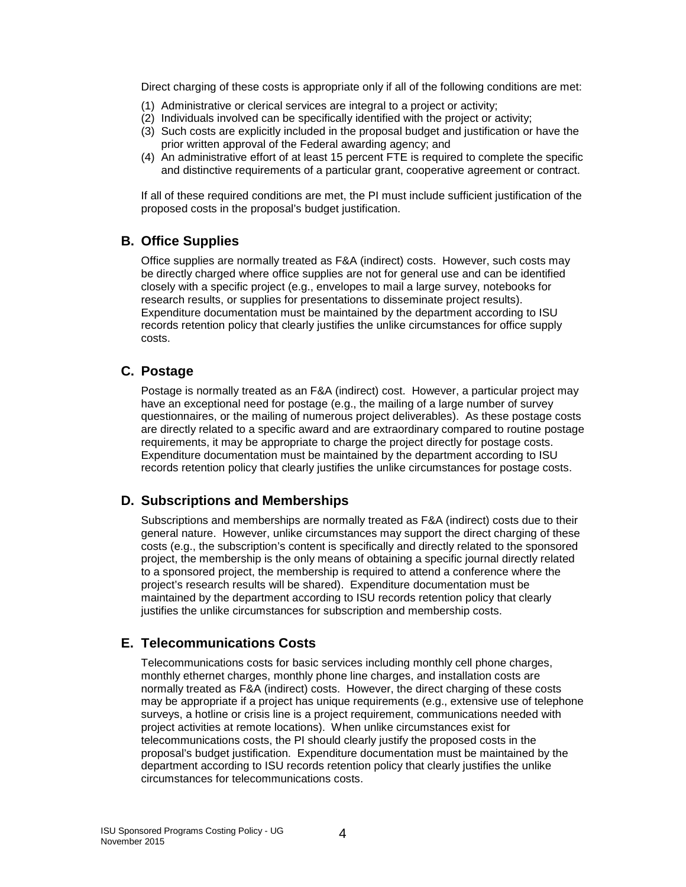Direct charging of these costs is appropriate only if all of the following conditions are met:

- (1) Administrative or clerical services are integral to a project or activity;
- (2) Individuals involved can be specifically identified with the project or activity;
- (3) Such costs are explicitly included in the proposal budget and justification or have the prior written approval of the Federal awarding agency; and
- (4) An administrative effort of at least 15 percent FTE is required to complete the specific and distinctive requirements of a particular grant, cooperative agreement or contract.

If all of these required conditions are met, the PI must include sufficient justification of the proposed costs in the proposal's budget justification.

### **B. Office Supplies**

Office supplies are normally treated as F&A (indirect) costs. However, such costs may be directly charged where office supplies are not for general use and can be identified closely with a specific project (e.g., envelopes to mail a large survey, notebooks for research results, or supplies for presentations to disseminate project results). Expenditure documentation must be maintained by the department according to ISU records retention policy that clearly justifies the unlike circumstances for office supply costs.

### **C. Postage**

Postage is normally treated as an F&A (indirect) cost. However, a particular project may have an exceptional need for postage (e.g., the mailing of a large number of survey questionnaires, or the mailing of numerous project deliverables). As these postage costs are directly related to a specific award and are extraordinary compared to routine postage requirements, it may be appropriate to charge the project directly for postage costs. Expenditure documentation must be maintained by the department according to ISU records retention policy that clearly justifies the unlike circumstances for postage costs.

### **D. Subscriptions and Memberships**

Subscriptions and memberships are normally treated as F&A (indirect) costs due to their general nature. However, unlike circumstances may support the direct charging of these costs (e.g., the subscription's content is specifically and directly related to the sponsored project, the membership is the only means of obtaining a specific journal directly related to a sponsored project, the membership is required to attend a conference where the project's research results will be shared). Expenditure documentation must be maintained by the department according to ISU records retention policy that clearly justifies the unlike circumstances for subscription and membership costs.

### **E. Telecommunications Costs**

Telecommunications costs for basic services including monthly cell phone charges, monthly ethernet charges, monthly phone line charges, and installation costs are normally treated as F&A (indirect) costs. However, the direct charging of these costs may be appropriate if a project has unique requirements (e.g., extensive use of telephone surveys, a hotline or crisis line is a project requirement, communications needed with project activities at remote locations). When unlike circumstances exist for telecommunications costs, the PI should clearly justify the proposed costs in the proposal's budget justification. Expenditure documentation must be maintained by the department according to ISU records retention policy that clearly justifies the unlike circumstances for telecommunications costs.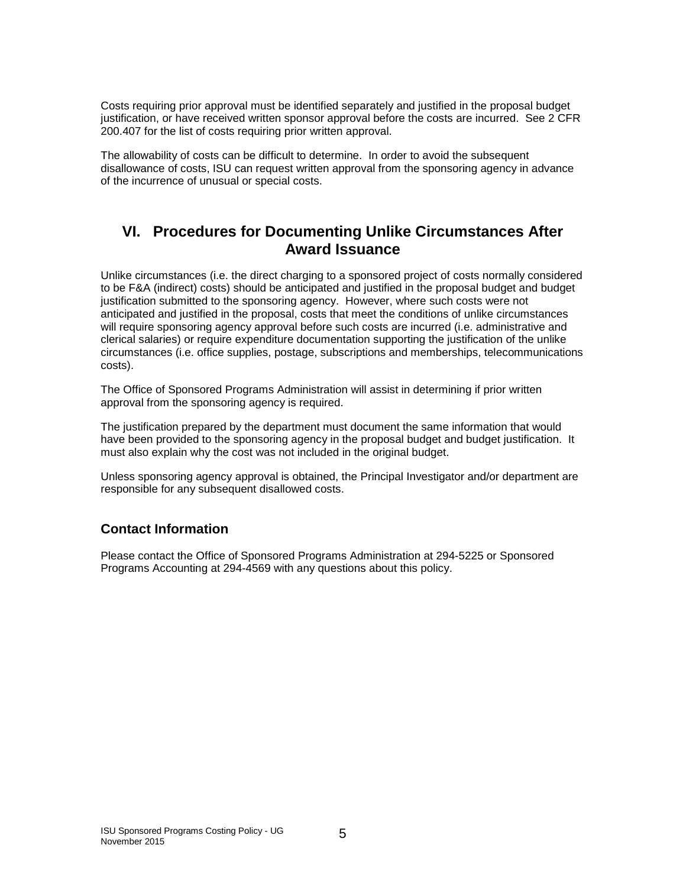Costs requiring prior approval must be identified separately and justified in the proposal budget justification, or have received written sponsor approval before the costs are incurred. See 2 CFR 200.407 for the list of costs requiring prior written approval.

The allowability of costs can be difficult to determine. In order to avoid the subsequent disallowance of costs, ISU can request written approval from the sponsoring agency in advance of the incurrence of unusual or special costs.

# **VI. Procedures for Documenting Unlike Circumstances After Award Issuance**

Unlike circumstances (i.e. the direct charging to a sponsored project of costs normally considered to be F&A (indirect) costs) should be anticipated and justified in the proposal budget and budget justification submitted to the sponsoring agency. However, where such costs were not anticipated and justified in the proposal, costs that meet the conditions of unlike circumstances will require sponsoring agency approval before such costs are incurred (i.e. administrative and clerical salaries) or require expenditure documentation supporting the justification of the unlike circumstances (i.e. office supplies, postage, subscriptions and memberships, telecommunications costs).

The Office of Sponsored Programs Administration will assist in determining if prior written approval from the sponsoring agency is required.

The justification prepared by the department must document the same information that would have been provided to the sponsoring agency in the proposal budget and budget justification. It must also explain why the cost was not included in the original budget.

Unless sponsoring agency approval is obtained, the Principal Investigator and/or department are responsible for any subsequent disallowed costs.

### **Contact Information**

Please contact the Office of Sponsored Programs Administration at 294-5225 or Sponsored Programs Accounting at 294-4569 with any questions about this policy.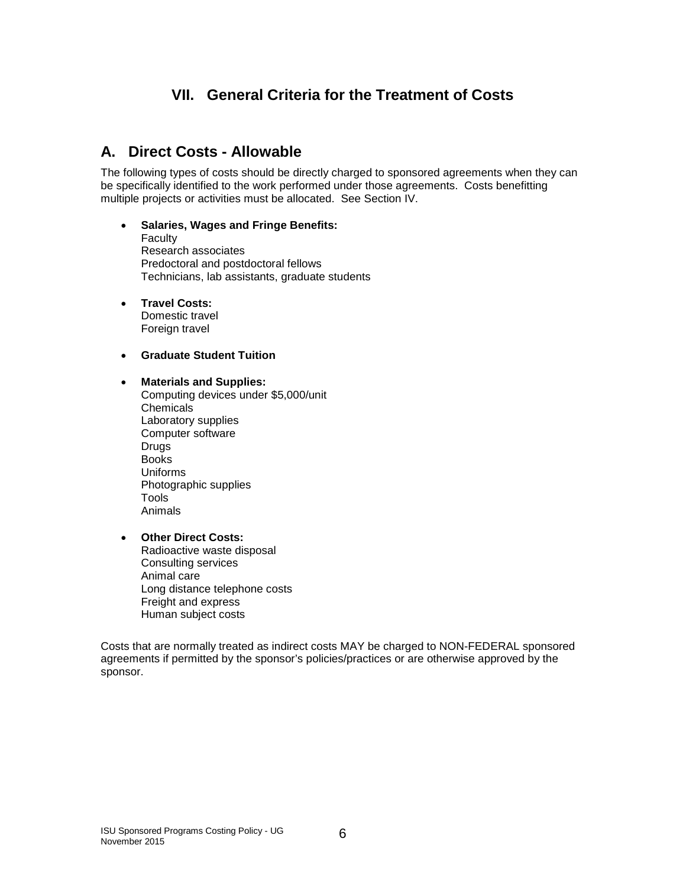# **VII. General Criteria for the Treatment of Costs**

# **A. Direct Costs - Allowable**

The following types of costs should be directly charged to sponsored agreements when they can be specifically identified to the work performed under those agreements. Costs benefitting multiple projects or activities must be allocated. See Section IV.

#### • **Salaries, Wages and Fringe Benefits:**

- Faculty Research associates Predoctoral and postdoctoral fellows Technicians, lab assistants, graduate students
- **Travel Costs:**

Domestic travel Foreign travel

#### • **Graduate Student Tuition**

#### • **Materials and Supplies:**

Computing devices under \$5,000/unit Chemicals Laboratory supplies Computer software **Drugs** Books Uniforms Photographic supplies Tools Animals

#### • **Other Direct Costs:**

Radioactive waste disposal Consulting services Animal care Long distance telephone costs Freight and express Human subject costs

Costs that are normally treated as indirect costs MAY be charged to NON-FEDERAL sponsored agreements if permitted by the sponsor's policies/practices or are otherwise approved by the sponsor.